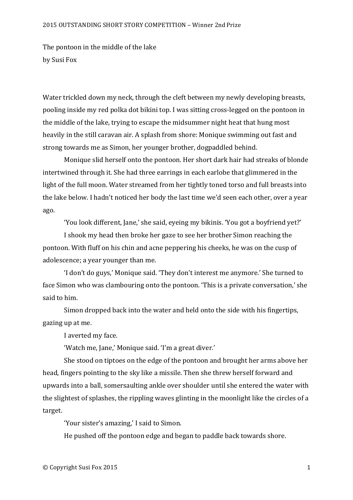## 2015 OUTSTANDING SHORT STORY COMPETITION – Winner 2nd Prize

The pontoon in the middle of the lake by Susi Fox

Water trickled down my neck, through the cleft between my newly developing breasts, pooling inside my red polka dot bikini top. I was sitting cross-legged on the pontoon in the middle of the lake, trying to escape the midsummer night heat that hung most heavily in the still caravan air. A splash from shore: Monique swimming out fast and strong towards me as Simon, her younger brother, dogpaddled behind.

Monique slid herself onto the pontoon. Her short dark hair had streaks of blonde intertwined through it. She had three earrings in each earlobe that glimmered in the light of the full moon. Water streamed from her tightly toned torso and full breasts into the lake below. I hadn't noticed her body the last time we'd seen each other, over a year ago. 

'You look different, Jane,' she said, eyeing my bikinis. 'You got a boyfriend yet?'

I shook my head then broke her gaze to see her brother Simon reaching the pontoon. With fluff on his chin and acne peppering his cheeks, he was on the cusp of adolescence; a year younger than me.

'I don't do guys,' Monique said. 'They don't interest me anymore.' She turned to face Simon who was clambouring onto the pontoon. 'This is a private conversation,' she said to him.

Simon dropped back into the water and held onto the side with his fingertips, gazing up at me.

I averted my face.

'Watch me, Jane,' Monique said. 'I'm a great diver.'

She stood on tiptoes on the edge of the pontoon and brought her arms above her head, fingers pointing to the sky like a missile. Then she threw herself forward and upwards into a ball, somersaulting ankle over shoulder until she entered the water with the slightest of splashes, the rippling waves glinting in the moonlight like the circles of a target.

'Your sister's amazing,' I said to Simon.

He pushed off the pontoon edge and began to paddle back towards shore.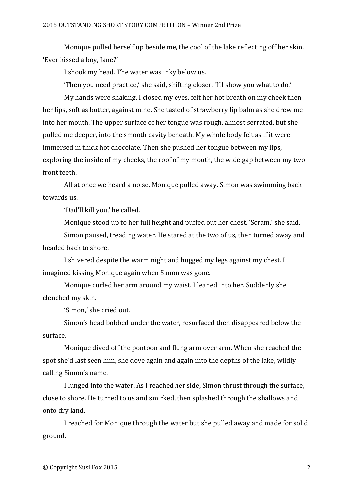Monique pulled herself up beside me, the cool of the lake reflecting off her skin. 'Ever kissed a boy, Jane?'

I shook my head. The water was inky below us.

'Then you need practice,' she said, shifting closer. 'I'll show you what to do.'

My hands were shaking. I closed my eyes, felt her hot breath on my cheek then her lips, soft as butter, against mine. She tasted of strawberry lip balm as she drew me into her mouth. The upper surface of her tongue was rough, almost serrated, but she pulled me deeper, into the smooth cavity beneath. My whole body felt as if it were immersed in thick hot chocolate. Then she pushed her tongue between my lips, exploring the inside of my cheeks, the roof of my mouth, the wide gap between my two front teeth.

All at once we heard a noise. Monique pulled away. Simon was swimming back towards us.

'Dad'll kill you,' he called.

Monique stood up to her full height and puffed out her chest. 'Scram,' she said.

Simon paused, treading water. He stared at the two of us, then turned away and headed back to shore.

I shivered despite the warm night and hugged my legs against my chest. I imagined kissing Monique again when Simon was gone.

Monique curled her arm around my waist. I leaned into her. Suddenly she clenched my skin.

'Simon,' she cried out.

Simon's head bobbed under the water, resurfaced then disappeared below the surface.

Monique dived off the pontoon and flung arm over arm. When she reached the spot she'd last seen him, she dove again and again into the depths of the lake, wildly calling Simon's name.

I lunged into the water. As I reached her side, Simon thrust through the surface, close to shore. He turned to us and smirked, then splashed through the shallows and onto dry land.

I reached for Monique through the water but she pulled away and made for solid ground.